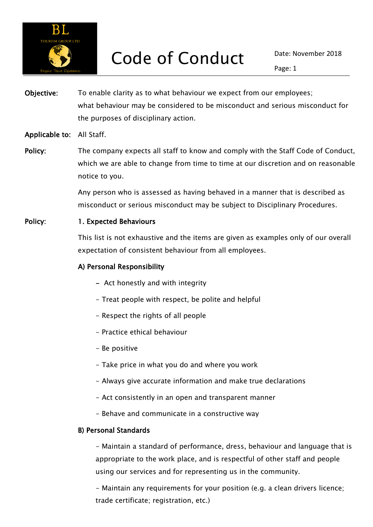

Objective: To enable clarity as to what behaviour we expect from our employees; what behaviour may be considered to be misconduct and serious misconduct for the purposes of disciplinary action.

#### Applicable to: All Staff.

Policy: The company expects all staff to know and comply with the Staff Code of Conduct, which we are able to change from time to time at our discretion and on reasonable notice to you.

> Any person who is assessed as having behaved in a manner that is described as misconduct or serious misconduct may be subject to Disciplinary Procedures.

### Policy: 1. Expected Behaviours

This list is not exhaustive and the items are given as examples only of our overall expectation of consistent behaviour from all employees.

#### A) Personal Responsibility

- Act honestly and with integrity
- Treat people with respect, be polite and helpful
- Respect the rights of all people
- Practice ethical behaviour
- Be positive
- Take price in what you do and where you work
- Always give accurate information and make true declarations
- Act consistently in an open and transparent manner
- Behave and communicate in a constructive way

#### B) Personal Standards

 - Maintain a standard of performance, dress, behaviour and language that is appropriate to the work place, and is respectful of other staff and people using our services and for representing us in the community.

- Maintain any requirements for your position (e.g. a clean drivers licence; trade certificate; registration, etc.)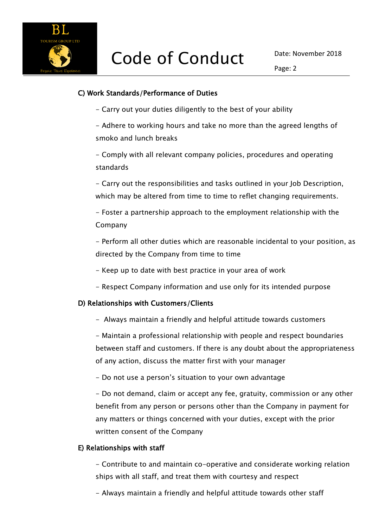

#### C) Work Standards/Performance of Duties

- Carry out your duties diligently to the best of your ability

- Adhere to working hours and take no more than the agreed lengths of smoko and lunch breaks

- Comply with all relevant company policies, procedures and operating standards

- Carry out the responsibilities and tasks outlined in your Job Description, which may be altered from time to time to reflet changing requirements.

- Foster a partnership approach to the employment relationship with the Company

- Perform all other duties which are reasonable incidental to your position, as directed by the Company from time to time

- Keep up to date with best practice in your area of work
- Respect Company information and use only for its intended purpose

## D) Relationships with Customers/Clients

- Always maintain a friendly and helpful attitude towards customers

- Maintain a professional relationship with people and respect boundaries between staff and customers. If there is any doubt about the appropriateness of any action, discuss the matter first with your manager

- Do not use a person's situation to your own advantage

- Do not demand, claim or accept any fee, gratuity, commission or any other benefit from any person or persons other than the Company in payment for any matters or things concerned with your duties, except with the prior written consent of the Company

#### E) Relationships with staff

- Contribute to and maintain co-operative and considerate working relation ships with all staff, and treat them with courtesy and respect

- Always maintain a friendly and helpful attitude towards other staff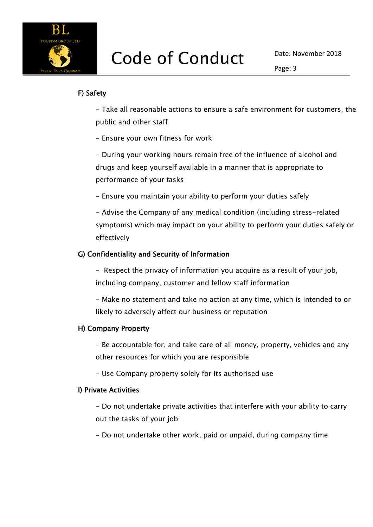

## F) Safety

- Take all reasonable actions to ensure a safe environment for customers, the public and other staff

- Ensure your own fitness for work

- During your working hours remain free of the influence of alcohol and drugs and keep yourself available in a manner that is appropriate to performance of your tasks

- Ensure you maintain your ability to perform your duties safely

- Advise the Company of any medical condition (including stress-related symptoms) which may impact on your ability to perform your duties safely or effectively

## G) Confidentiality and Security of Information

- Respect the privacy of information you acquire as a result of your job, including company, customer and fellow staff information

- Make no statement and take no action at any time, which is intended to or likely to adversely affect our business or reputation

## H) Company Property

- Be accountable for, and take care of all money, property, vehicles and any other resources for which you are responsible

- Use Company property solely for its authorised use

## I) Private Activities

- Do not undertake private activities that interfere with your ability to carry out the tasks of your job

- Do not undertake other work, paid or unpaid, during company time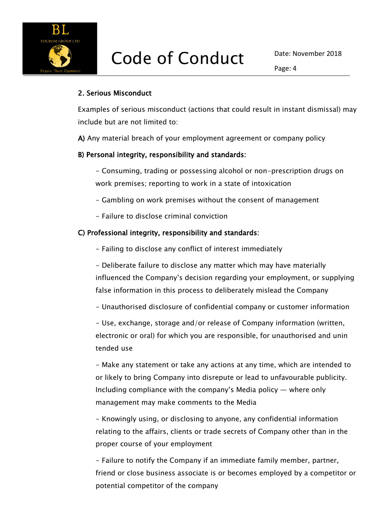

### 2. Serious Misconduct

Examples of serious misconduct (actions that could result in instant dismissal) may include but are not limited to:

A) Any material breach of your employment agreement or company policy

#### B) Personal integrity, responsibility and standards:

- Consuming, trading or possessing alcohol or non-prescription drugs on work premises; reporting to work in a state of intoxication

- Gambling on work premises without the consent of management

- Failure to disclose criminal conviction

#### C) Professional integrity, responsibility and standards:

- Failing to disclose any conflict of interest immediately

- Deliberate failure to disclose any matter which may have materially influenced the Company's decision regarding your employment, or supplying false information in this process to deliberately mislead the Company

- Unauthorised disclosure of confidential company or customer information

- Use, exchange, storage and/or release of Company information (written, electronic or oral) for which you are responsible, for unauthorised and unin tended use

- Make any statement or take any actions at any time, which are intended to or likely to bring Company into disrepute or lead to unfavourable publicity. Including compliance with the company's Media policy — where only management may make comments to the Media

- Knowingly using, or disclosing to anyone, any confidential information relating to the affairs, clients or trade secrets of Company other than in the proper course of your employment

- Failure to notify the Company if an immediate family member, partner, friend or close business associate is or becomes employed by a competitor or potential competitor of the company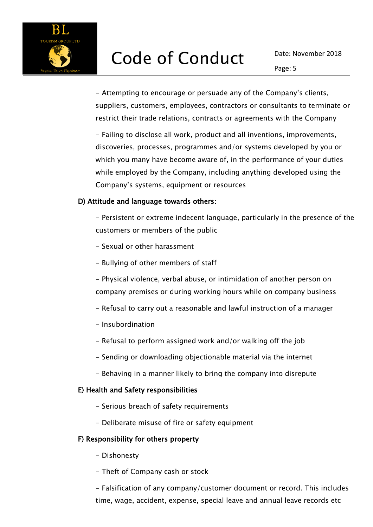

- Attempting to encourage or persuade any of the Company's clients, suppliers, customers, employees, contractors or consultants to terminate or restrict their trade relations, contracts or agreements with the Company

- Failing to disclose all work, product and all inventions, improvements, discoveries, processes, programmes and/or systems developed by you or which you many have become aware of, in the performance of your duties while employed by the Company, including anything developed using the Company's systems, equipment or resources

#### D) Attitude and language towards others:

- Persistent or extreme indecent language, particularly in the presence of the customers or members of the public

- Sexual or other harassment
- Bullying of other members of staff
- Physical violence, verbal abuse, or intimidation of another person on company premises or during working hours while on company business
- Refusal to carry out a reasonable and lawful instruction of a manager
- Insubordination
- Refusal to perform assigned work and/or walking off the job
- Sending or downloading objectionable material via the internet
- Behaving in a manner likely to bring the company into disrepute

#### E) Health and Safety responsibilities

- Serious breach of safety requirements
- Deliberate misuse of fire or safety equipment

#### F) Responsibility for others property

- Dishonesty
- Theft of Company cash or stock

- Falsification of any company/customer document or record. This includes time, wage, accident, expense, special leave and annual leave records etc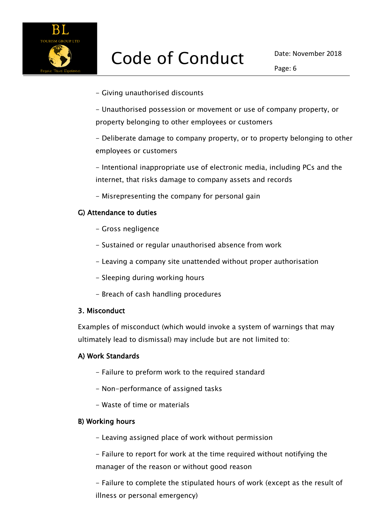

Page: 6

- Giving unauthorised discounts

- Unauthorised possession or movement or use of company property, or property belonging to other employees or customers

- Deliberate damage to company property, or to property belonging to other employees or customers

- Intentional inappropriate use of electronic media, including PCs and the internet, that risks damage to company assets and records

- Misrepresenting the company for personal gain

### G) Attendance to duties

- Gross negligence
- Sustained or regular unauthorised absence from work
- Leaving a company site unattended without proper authorisation
- Sleeping during working hours
- Breach of cash handling procedures

#### 3. Misconduct

Examples of misconduct (which would invoke a system of warnings that may ultimately lead to dismissal) may include but are not limited to:

#### A) Work Standards

- Failure to preform work to the required standard
- Non-performance of assigned tasks
- Waste of time or materials

#### B) Working hours

- Leaving assigned place of work without permission

- Failure to report for work at the time required without notifying the manager of the reason or without good reason

- Failure to complete the stipulated hours of work (except as the result of illness or personal emergency)